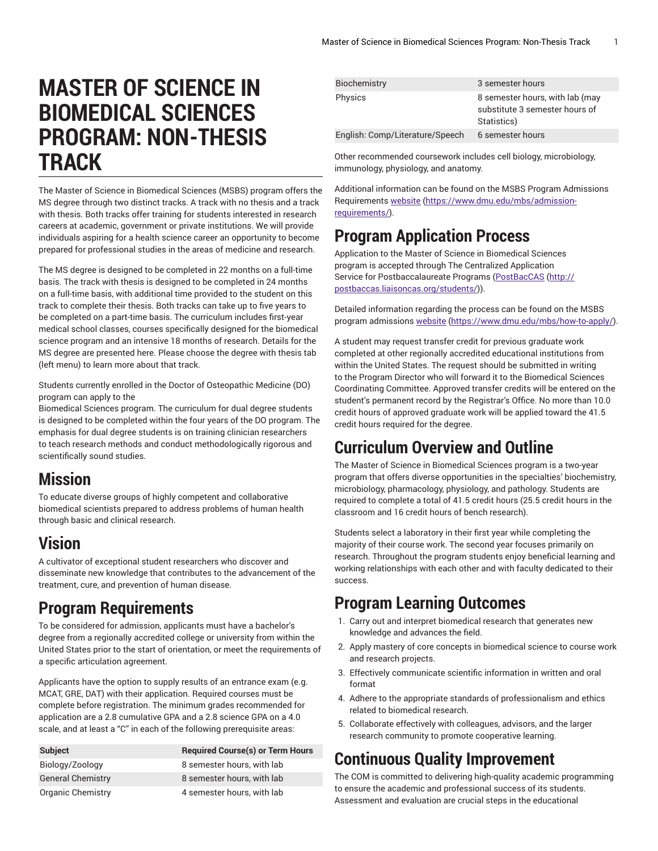# **MASTER OF SCIENCE IN BIOMEDICAL SCIENCES PROGRAM: NON-THESIS TRACK**

The Master of Science in Biomedical Sciences (MSBS) program offers the MS degree through two distinct tracks. A track with no thesis and a track with thesis. Both tracks offer training for students interested in research careers at academic, government or private institutions. We will provide individuals aspiring for a health science career an opportunity to become prepared for professional studies in the areas of medicine and research.

The MS degree is designed to be completed in 22 months on a full-time basis. The track with thesis is designed to be completed in 24 months on a full-time basis, with additional time provided to the student on this track to complete their thesis. Both tracks can take up to five years to be completed on a part-time basis. The curriculum includes first-year medical school classes, courses specifically designed for the biomedical science program and an intensive 18 months of research. Details for the MS degree are presented here. Please choose the degree with thesis tab (left menu) to learn more about that track.

Students currently enrolled in the Doctor of Osteopathic Medicine (DO) program can apply to the

Biomedical Sciences program. The curriculum for dual degree students is designed to be completed within the four years of the DO program. The emphasis for dual degree students is on training clinician researchers to teach research methods and conduct methodologically rigorous and scientifically sound studies.

# **Mission**

To educate diverse groups of highly competent and collaborative biomedical scientists prepared to address problems of human health through basic and clinical research.

# **Vision**

A cultivator of exceptional student researchers who discover and disseminate new knowledge that contributes to the advancement of the treatment, cure, and prevention of human disease.

# **Program Requirements**

To be considered for admission, applicants must have a bachelor's degree from a regionally accredited college or university from within the United States prior to the start of orientation, or meet the requirements of a specific articulation agreement.

Applicants have the option to supply results of an entrance exam (e.g. MCAT, GRE, DAT) with their application. Required courses must be complete before registration. The minimum grades recommended for application are a 2.8 cumulative GPA and a 2.8 science GPA on a 4.0 scale, and at least a "C" in each of the following prerequisite areas:

| <b>Subject</b>           | <b>Required Course(s) or Term Hours</b> |
|--------------------------|-----------------------------------------|
| Biology/Zoology          | 8 semester hours, with lab              |
| <b>General Chemistry</b> | 8 semester hours, with lab              |
| Organic Chemistry        | 4 semester hours, with lab              |

| Biochemistry                    | 3 semester hours                                                                 |
|---------------------------------|----------------------------------------------------------------------------------|
| Physics                         | 8 semester hours, with lab (may<br>substitute 3 semester hours of<br>Statistics) |
| English: Comp/Literature/Speech | 6 semester hours                                                                 |

Other recommended coursework includes cell biology, microbiology, immunology, physiology, and anatomy.

Additional information can be found on the MSBS Program Admissions Requirements [website \(https://www.dmu.edu/mbs/admission](https://www.dmu.edu/mbs/admission-requirements/)[requirements/](https://www.dmu.edu/mbs/admission-requirements/)).

# **Program Application Process**

Application to the Master of Science in Biomedical Sciences program is accepted through The Centralized Application Service for Postbaccalaureate Programs [\(PostBacCAS \(http://](http://postbaccas.liaisoncas.org/students/) [postbaccas.liaisoncas.org/students/](http://postbaccas.liaisoncas.org/students/))).

Detailed information regarding the process can be found on the MSBS program admissions [website](https://www.dmu.edu/mbs/how-to-apply/) ([https://www.dmu.edu/mbs/how-to-apply/\)](https://www.dmu.edu/mbs/how-to-apply/).

A student may request transfer credit for previous graduate work completed at other regionally accredited educational institutions from within the United States. The request should be submitted in writing to the Program Director who will forward it to the Biomedical Sciences Coordinating Committee. Approved transfer credits will be entered on the student's permanent record by the Registrar's Office. No more than 10.0 credit hours of approved graduate work will be applied toward the 41.5 credit hours required for the degree.

# **Curriculum Overview and Outline**

The Master of Science in Biomedical Sciences program is a two-year program that offers diverse opportunities in the specialties' biochemistry, microbiology, pharmacology, physiology, and pathology. Students are required to complete a total of 41.5 credit hours (25.5 credit hours in the classroom and 16 credit hours of bench research).

Students select a laboratory in their first year while completing the majority of their course work. The second year focuses primarily on research. Throughout the program students enjoy beneficial learning and working relationships with each other and with faculty dedicated to their success.

### **Program Learning Outcomes**

- 1. Carry out and interpret biomedical research that generates new knowledge and advances the field.
- 2. Apply mastery of core concepts in biomedical science to course work and research projects.
- 3. Effectively communicate scientific information in written and oral format
- 4. Adhere to the appropriate standards of professionalism and ethics related to biomedical research.
- 5. Collaborate effectively with colleagues, advisors, and the larger research community to promote cooperative learning.

# **Continuous Quality Improvement**

The COM is committed to delivering high-quality academic programming to ensure the academic and professional success of its students. Assessment and evaluation are crucial steps in the educational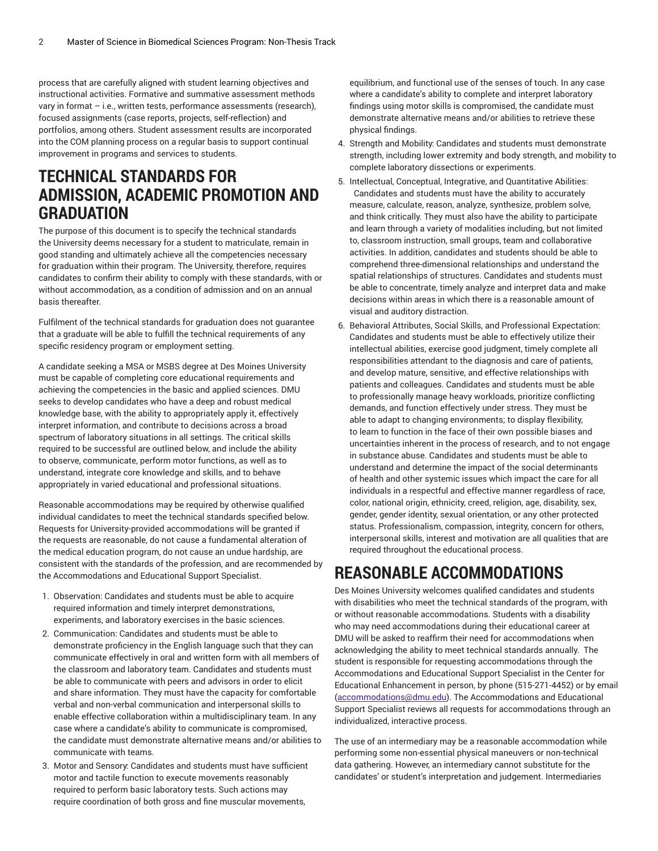process that are carefully aligned with student learning objectives and instructional activities. Formative and summative assessment methods vary in format – i.e., written tests, performance assessments (research), focused assignments (case reports, projects, self-reflection) and portfolios, among others. Student assessment results are incorporated into the COM planning process on a regular basis to support continual improvement in programs and services to students.

#### **TECHNICAL STANDARDS FOR ADMISSION, ACADEMIC PROMOTION AND GRADUATION**

The purpose of this document is to specify the technical standards the University deems necessary for a student to matriculate, remain in good standing and ultimately achieve all the competencies necessary for graduation within their program. The University, therefore, requires candidates to confirm their ability to comply with these standards, with or without accommodation, as a condition of admission and on an annual basis thereafter.

Fulfilment of the technical standards for graduation does not guarantee that a graduate will be able to fulfill the technical requirements of any specific residency program or employment setting.

A candidate seeking a MSA or MSBS degree at Des Moines University must be capable of completing core educational requirements and achieving the competencies in the basic and applied sciences. DMU seeks to develop candidates who have a deep and robust medical knowledge base, with the ability to appropriately apply it, effectively interpret information, and contribute to decisions across a broad spectrum of laboratory situations in all settings. The critical skills required to be successful are outlined below, and include the ability to observe, communicate, perform motor functions, as well as to understand, integrate core knowledge and skills, and to behave appropriately in varied educational and professional situations.

Reasonable accommodations may be required by otherwise qualified individual candidates to meet the technical standards specified below. Requests for University-provided accommodations will be granted if the requests are reasonable, do not cause a fundamental alteration of the medical education program, do not cause an undue hardship, are consistent with the standards of the profession, and are recommended by the Accommodations and Educational Support Specialist.

- 1. Observation: Candidates and students must be able to acquire required information and timely interpret demonstrations, experiments, and laboratory exercises in the basic sciences.
- 2. Communication: Candidates and students must be able to demonstrate proficiency in the English language such that they can communicate effectively in oral and written form with all members of the classroom and laboratory team. Candidates and students must be able to communicate with peers and advisors in order to elicit and share information. They must have the capacity for comfortable verbal and non-verbal communication and interpersonal skills to enable effective collaboration within a multidisciplinary team. In any case where a candidate's ability to communicate is compromised, the candidate must demonstrate alternative means and/or abilities to communicate with teams.
- 3. Motor and Sensory: Candidates and students must have sufficient motor and tactile function to execute movements reasonably required to perform basic laboratory tests. Such actions may require coordination of both gross and fine muscular movements,

equilibrium, and functional use of the senses of touch. In any case where a candidate's ability to complete and interpret laboratory findings using motor skills is compromised, the candidate must demonstrate alternative means and/or abilities to retrieve these physical findings.

- 4. Strength and Mobility: Candidates and students must demonstrate strength, including lower extremity and body strength, and mobility to complete laboratory dissections or experiments.
- 5. Intellectual, Conceptual, Integrative, and Quantitative Abilities: Candidates and students must have the ability to accurately measure, calculate, reason, analyze, synthesize, problem solve, and think critically. They must also have the ability to participate and learn through a variety of modalities including, but not limited to, classroom instruction, small groups, team and collaborative activities. In addition, candidates and students should be able to comprehend three-dimensional relationships and understand the spatial relationships of structures. Candidates and students must be able to concentrate, timely analyze and interpret data and make decisions within areas in which there is a reasonable amount of visual and auditory distraction.
- 6. Behavioral Attributes, Social Skills, and Professional Expectation: Candidates and students must be able to effectively utilize their intellectual abilities, exercise good judgment, timely complete all responsibilities attendant to the diagnosis and care of patients, and develop mature, sensitive, and effective relationships with patients and colleagues. Candidates and students must be able to professionally manage heavy workloads, prioritize conflicting demands, and function effectively under stress. They must be able to adapt to changing environments; to display flexibility, to learn to function in the face of their own possible biases and uncertainties inherent in the process of research, and to not engage in substance abuse. Candidates and students must be able to understand and determine the impact of the social determinants of health and other systemic issues which impact the care for all individuals in a respectful and effective manner regardless of race, color, national origin, ethnicity, creed, religion, age, disability, sex, gender, gender identity, sexual orientation, or any other protected status. Professionalism, compassion, integrity, concern for others, interpersonal skills, interest and motivation are all qualities that are required throughout the educational process.

# **REASONABLE ACCOMMODATIONS**

Des Moines University welcomes qualified candidates and students with disabilities who meet the technical standards of the program, with or without reasonable accommodations. Students with a disability who may need accommodations during their educational career at DMU will be asked to reaffirm their need for accommodations when acknowledging the ability to meet technical standards annually. The student is responsible for requesting accommodations through the Accommodations and Educational Support Specialist in the Center for Educational Enhancement in person, by phone (515-271-4452) or by email [\(accommodations@dmu.edu\)](mailto:accommodations@dmu.edu). The Accommodations and Educational Support Specialist reviews all requests for accommodations through an individualized, interactive process.

The use of an intermediary may be a reasonable accommodation while performing some non-essential physical maneuvers or non-technical data gathering. However, an intermediary cannot substitute for the candidates' or student's interpretation and judgement. Intermediaries